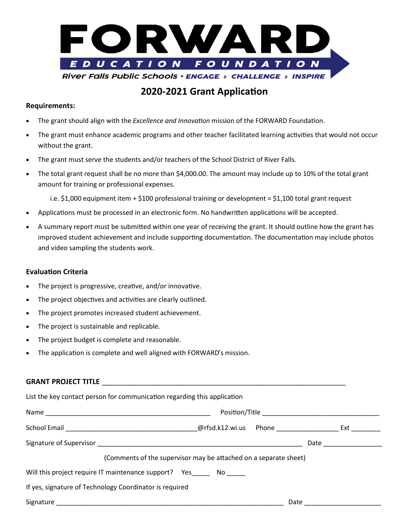

# **2020-2021 Grant Application**

#### **Requirements:**

- The grant should align with the *Excellence and Innovation* mission of the FORWARD Foundation.
- The grant must enhance academic programs and other teacher facilitated learning activities that would not occur without the grant.
- The grant must serve the students and/or teachers of the School District of River Falls.
- The total grant request shall be no more than \$4,000.00. The amount may include up to 10% of the total grant amount for training or professional expenses.

i.e. \$1,000 equipment item + \$100 professional training or development = \$1,100 total grant request

- Applications must be processed in an electronic form. No handwritten applications will be accepted.
- A summary report must be submitted within one year of receiving the grant. It should outline how the grant has improved student achievement and include supporting documentation. The documentation may include photos and video sampling the students work.

#### **Evaluation Criteria**

- The project is progressive, creative, and/or innovative.
- The project objectives and activities are clearly outlined.
- The project promotes increased student achievement.
- The project is sustainable and replicable.
- The project budget is complete and reasonable.
- The application is complete and well aligned with FORWARD's mission.

| List the key contact person for communication regarding this application |                                                                  |                   |
|--------------------------------------------------------------------------|------------------------------------------------------------------|-------------------|
|                                                                          |                                                                  |                   |
|                                                                          |                                                                  |                   |
|                                                                          |                                                                  |                   |
|                                                                          | (Comments of the supervisor may be attached on a separate sheet) |                   |
| Will this project require IT maintenance support? Yes No                 |                                                                  |                   |
| If yes, signature of Technology Coordinator is required                  |                                                                  |                   |
|                                                                          |                                                                  | Date ____________ |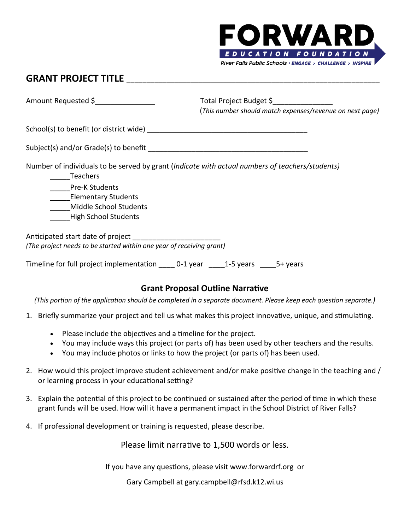

# **GRANT PROJECT TITLE** \_\_\_\_\_\_\_\_\_\_\_\_\_\_\_\_\_\_\_\_\_\_\_\_\_\_\_\_\_\_\_\_\_\_\_\_\_\_\_\_\_\_\_\_\_\_\_\_\_\_\_\_\_\_\_\_\_\_\_\_\_\_\_

Amount Requested \$ <br>Amount Requested \$ 1.1 Total Project Budget \$ (*This number should match expenses/revenue on next page)*

 $\mathsf{School}(\mathsf{s})$  to benefit (or district wide)  $\blacksquare$ 

| Subject(s) and/or Grade(s) to benefit |  |
|---------------------------------------|--|
|---------------------------------------|--|

Number of individuals to be served by grant (*Indicate with actual numbers of teachers/students)*

\_\_\_\_\_Teachers

Pre-K Students

\_\_\_\_\_Elementary Students

\_\_\_\_\_Middle School Students

\_\_\_\_\_High School Students

| Anticipated start date of project                                    |
|----------------------------------------------------------------------|
| (The project needs to be started within one year of receiving grant) |

Timeline for full project implementation do -1 year do -15 years 5+ years

## **Grant Proposal Outline Narrative**

*(This portion of the application should be completed in a separate document. Please keep each question separate.)*

- 1. Briefly summarize your project and tell us what makes this project innovative, unique, and stimulating.
	- Please include the objectives and a timeline for the project.
	- You may include ways this project (or parts of) has been used by other teachers and the results.
	- You may include photos or links to how the project (or parts of) has been used.
- 2. How would this project improve student achievement and/or make positive change in the teaching and / or learning process in your educational setting?
- 3. Explain the potential of this project to be continued or sustained after the period of time in which these grant funds will be used. How will it have a permanent impact in the School District of River Falls?
- 4. If professional development or training is requested, please describe.

Please limit narrative to 1,500 words or less.

If you have any questions, please visit www.forwardrf.org or

Gary Campbell at gary.campbell@rfsd.k12.wi.us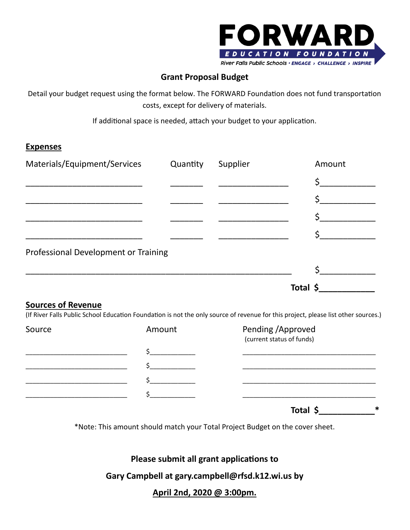

## **Grant Proposal Budget**

Detail your budget request using the format below. The FORWARD Foundation does not fund transportation costs, except for delivery of materials.

If additional space is needed, attach your budget to your application.

### **Expenses**

| Materials/Equipment/Services         | Quantity | Supplier | Amount   |
|--------------------------------------|----------|----------|----------|
|                                      |          |          |          |
|                                      |          |          |          |
|                                      |          |          |          |
|                                      |          |          |          |
| Professional Development or Training |          |          |          |
|                                      |          |          |          |
|                                      |          |          | Total \$ |

### **Sources of Revenue**

(If River Falls Public School Education Foundation is not the only source of revenue for this project, please list other sources.)

| Source | Amount | Pending / Approved<br>(current status of funds) |
|--------|--------|-------------------------------------------------|
|        |        |                                                 |
|        |        |                                                 |
|        |        |                                                 |
|        |        |                                                 |
|        |        | مله<br>- - - -                                  |

**Total \$\_\_\_\_\_\_\_\_\_\_\_\_\***

\*Note: This amount should match your Total Project Budget on the cover sheet.

**Please submit all grant applications to** 

**Gary Campbell at gary.campbell@rfsd.k12.wi.us by** 

**April 2nd, 2020 @ 3:00pm.**